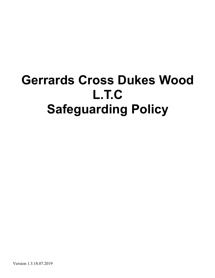# **Gerrards Cross Dukes Wood L.T.C Safeguarding Policy**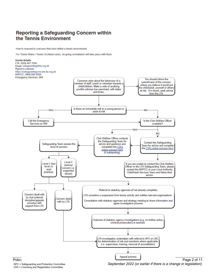### Reporting a Safeguarding Concern within the Tennis Environment

How to respond to concerns that arise within a tennis environment.

For Tennis Wales / Tennis Scotland cases, on-going consultation will take place with them.



LRC = Licensing and Registration Committee

Last Updated: SPC = Safeguarding and Protection Committee *September 2020* Next Review: *September 2022 (or earlier if there is a change in legislation)*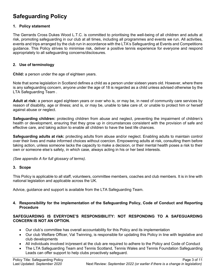# **Safeguarding Policy**

#### **1. Policy statement**

The Gerrards Cross Dukes Wood L.T.C. is committed to prioritising the well-being of all children and adults at risk, promoting safeguarding in our club at all times, including all programmes and events we run. All activities, events and trips arranged by the club run in accordance with the LTA's Safeguarding at Events and Competitions guidance. This Policy strives to minimise risk, deliver a positive tennis experience for everyone and respond appropriately to all safeguarding concerns/disclosures.

#### **2. Use of terminology**

**Child:** a person under the age of eighteen years.

Note that some legislation in Scotland defines a child as a person under sixteen years old. However, where there is any safeguarding concern, anyone under the age of 18 is regarded as a child unless advised otherwise by the LTA Safeguarding Team .

**Adult at risk:** a person aged eighteen years or over who is, or may be, in need of community care services by reason of disability, age or illness; and is, or may be, unable to take care of, or unable to protect him or herself against abuse or neglect.

**Safeguarding children:** protecting children from abuse and neglect, preventing the impairment of children's health or development, ensuring that they grow up in circumstances consistent with the provision of safe and effective care, and taking action to enable all children to have the best life chances.

**Safeguarding adults at risk:** protecting adults from abuse and/or neglect. Enabling adults to maintain control over their lives and make informed choices without coercion. Empowering adults at risk, consulting them before taking action, unless someone lacks the capacity to make a decision, or their mental health poses a risk to their own or someone else's safety, in which case, always acting in his or her best interests.

*(See appendix A for full glossary of terms)*.

#### **3. Scope**

This Policy is applicable to all staff, volunteers, committee members, coaches and club members. It is in line with national legislation and applicable across the UK.

Advice, guidance and support is available from the LTA Safeguarding Team.

#### **4. Responsibility for the implementation of the Safeguarding Policy, Code of Conduct and Reporting Procedure**

#### **SAFEGUARDING IS EVERYONE'S RESPONSIBILITY: NOT RESPONDING TO A SAFEGUARDING CONCERN IS NOT AN OPTION.**

- Our club's committee has overall accountability for this Policy and its implementation
- Our club Welfare Officer, Val Twinning, is responsible for updating this Policy in line with legislative and club developments
- All individuals involved in/present at the club are required to adhere to the Policy and Code of Conduct
- The LTA Safeguarding Team and Tennis Scotland, Tennis Wales and Tennis Foundation Safeguarding Leads can offer support to help clubs proactively safeguard.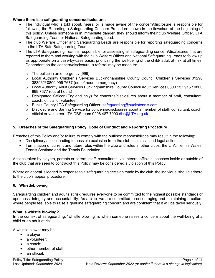#### **Where there is a safeguarding concern/disclosure:**

- The individual who is told about, hears, or is made aware of the concern/disclosure is responsible for following the Reporting a Safeguarding Concern Procedure shown in the flowchart at the beginning of this policy. Unless someone is in immediate danger, they should inform their club Welfare Officer, LTA Safeguarding Team or National Safeguarding Lead.
- The club Welfare Officer and Safeguarding Leads are responsible for reporting safeguarding concerns to the LTA Safe Safeguarding Team.
- The LTA Safeguarding Team is responsible for assessing all safeguarding concern/disclosures that are reported to them and working with the club Welfare Officer and National Safeguarding Leads to follow up as appropriate on a case-by-case basis, prioritising the well-being of the child/ adult at risk at all times. Dependent on the concern/disclosure, a referral may be made to:
	- o The police in an emergency (999);
	- o Local Authority Children's Services Buckinghamshire County Council Children's Services 01296 383962/ 0800 999 7677 (out of hours emergency)
	- o Local Authority Adult Services Buckinghamshire County Council Adult Services 0800 137 915 / 0800 999 7677 (out of hours)
	- $\circ$  Designated Officer (England only) for concerns/disclosures about a member of staff, consultant, coach, official or volunteer
	- $\circ$  Bucks County LTA Safeguarding Officer: safeguarding@buckstennis.com
	- o Disclosure and Barring Service for concerns/disclosures about a member of staff, consultant, coach, official or volunteer LTA DBS team 0208 487 7000 dbs@LTA.org.uk
	- o

#### **5. Breaches of the Safeguarding Policy, Code of Conduct and Reporting Procedure**

Breaches of this Policy and/or failure to comply with the outlined responsibilities may result in the following:

- Disciplinary action leading to possible exclusion from the club, dismissal and legal action
- Termination of current and future roles within the club and roles in other clubs, the LTA, Tennis Wales, Tennis Scotland and the Tennis Foundation*.*

Actions taken by players, parents or carers, staff, consultants, volunteers, officials, coaches inside or outside of the club that are seen to contradict this Policy may be considered a violation of this Policy.

Where an appeal is lodged in response to a safeguarding decision made by the club, the individual should adhere to the club's appeal procedure.

#### **6. Whistleblowing**

Safeguarding children and adults at risk requires everyone to be committed to the highest possible standards of openness, integrity and accountability. As a club, we are committed to encouraging and maintaining a culture where people feel able to raise a genuine safeguarding concern and are confident that it will be taken seriously.

#### **What is whistle blowing?**

In the context of safeguarding, "whistle blowing" is when someone raises a concern about the well-being of a child or an adult at risk.

A whistle blower may be:

- a player;
- a volunteer;
- a coach:
- other member of staff;
- an official: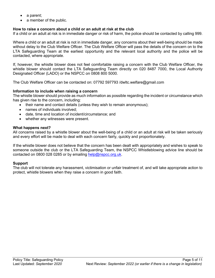- a parent;
- a member of the public.

#### **How to raise a concern about a child or an adult at risk at the club**

If a child or an adult at risk is in immediate danger or risk of harm, the police should be contacted by calling 999.

Where a child or an adult at risk is not in immediate danger, any concerns about their well-being should be made without delay to the Club Welfare Officer. The Club Welfare Officer will pass the details of the concern on to the LTA Safeguarding Team at the earliest opportunity and the relevant local authority and the police will be contacted, where appropriate.

If, however, the whistle blower does not feel comfortable raising a concern with the Club Welfare Officer, the whistle blower should contact the LTA Safeguarding Team directly on 020 8487 7000, the Local Authority Designated Officer (LADO) or the NSPCC on 0808 800 5000.

The Club Welfare Officer can be contacted on: 07792 597793 /dwltc.welfare@gmail.com

#### **Information to include when raising a concern**

The whistle blower should provide as much information as possible regarding the incident or circumstance which has given rise to the concern, including:

- their name and contact details (unless they wish to remain anonymous);
- names of individuals involved;
- date, time and location of incident/circumstance; and
- whether any witnesses were present.

#### **What happens next?**

All concerns raised by a whistle blower about the well-being of a child or an adult at risk will be taken seriously and every effort will be made to deal with each concern fairly, quickly and proportionately.

If the whistle blower does not believe that the concern has been dealt with appropriately and wishes to speak to someone outside the club or the LTA Safeguarding Team, the NSPCC Whistleblowing advice line should be contacted on 0800 028 0285 or by emailing help@nspcc.org.uk.

#### **Support**

The club will not tolerate any harassment, victimisation or unfair treatment of, and will take appropriate action to protect, whistle blowers when they raise a concern in good faith.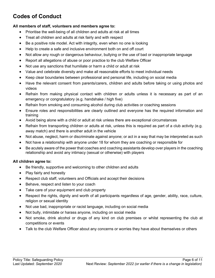# **Codes of Conduct**

#### **All members of staff, volunteers and members agree to:**

- Prioritise the well-being of all children and adults at risk at all times
- Treat all children and adults at risk fairly and with respect
- Be a positive role model. Act with integrity, even when no one is looking
- Help to create a safe and inclusive environment both on and off court
- Not allow any rough or dangerous behaviour, bullying or the use of bad or inappropriate language
- Report all allegations of abuse or poor practice to the club Welfare Officer
- Not use any sanctions that humiliate or harm a child or adult at risk
- Value and celebrate diversity and make all reasonable efforts to meet individual needs
- Keep clear boundaries between professional and personal life, including on social media
- Have the relevant consent from parents/carers, children and adults before taking or using photos and videos
- Refrain from making physical contact with children or adults unless it is necessary as part of an emergency or congratulatory (e.g. handshake / high five)
- Refrain from smoking and consuming alcohol during club activities or coaching sessions
- Ensure roles and responsibilities are clearly outlined and everyone has the required information and training
- Avoid being alone with a child or adult at risk unless there are exceptional circumstances
- Refrain from transporting children or adults at risk, unless this is required as part of a club activity (e.g. away match) and there is another adult in the vehicle
- Not abuse, neglect, harm or discriminate against anyone; or act in a way that may be interpreted as such
- Not have a relationship with anyone under 18 for whom they are coaching or responsible for
- Be acutely aware of the power that coaches and coaching assistants develop over players in the coaching relationship and avoid any intimacy (sexual or otherwise) with players

#### **All children agree to:**

- Be friendly, supportive and welcoming to other children and adults
- Play fairly and honestly
- Respect club staff, volunteers and Officials and accept their decisions
- Behave, respect and listen to your coach
- Take care of your equipment and club property
- Respect the rights, dignity and worth of all participants regardless of age, gender, ability, race, culture, religion or sexual identity
- Not use bad, inappropriate or racist language, including on social media
- Not bully, intimidate or harass anyone, including on social media
- Not smoke, drink alcohol or drugs of any kind on club premises or whilst representing the club at competitions or events
- Talk to the club Welfare Officer about any concerns or worries they have about themselves or others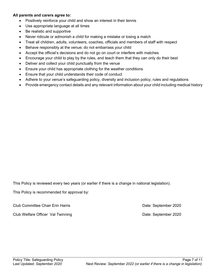#### **All parents and carers agree to:**

- Positively reinforce your child and show an interest in their tennis
- Use appropriate language at all times
- Be realistic and supportive
- Never ridicule or admonish a child for making a mistake or losing a match
- Treat all children, adults, volunteers, coaches, officials and members of staff with respect
- Behave responsibly at the venue; do not embarrass your child
- Accept the official's decisions and do not go on court or interfere with matches
- Encourage your child to play by the rules, and teach them that they can only do their best
- Deliver and collect your child punctually from the venue
- Ensure your child has appropriate clothing for the weather conditions
- Ensure that your child understands their code of conduct
- Adhere to your venue's safeguarding policy, diversity and inclusion policy, rules and regulations
- Provide emergency contact details and any relevant information about your child including medical history

This Policy is reviewed every two years (or earlier if there is a change in national legislation).

This Policy is recommended for approval by:

Club Committee Chair Erin Harris Date: September 2020

Club Welfare Officer Val Twinning **Date: September 2020** Date: September 2020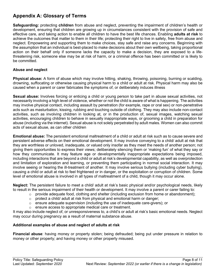## **Appendix A: Glossary of Terms**

**Safeguarding:** protecting **children** from abuse and neglect, preventing the impairment of children's health or development, ensuring that children are growing up in circumstances consistent with the provision of safe and effective care, and taking action to enable all children to have the best life chances. Enabling **adults at risk** to achieve the outcomes that matter to them in their life; protecting their right to live in safety, free from abuse and neglect. Empowering and supporting them to make choices, stay safe and raise any concerns. Beginning with the assumption that an individual is best-placed to make decisions about their own wellbeing, taking proportional action on their behalf only if someone lacks the capacity to make a decision, they are exposed to a lifethreatening risk, someone else may be at risk of harm, or a criminal offence has been committed or is likely to be committed.

#### **Abuse and neglect**

**Physical abuse:** A form of abuse which may involve hitting, shaking, throwing, poisoning, burning or scalding, drowning, suffocating or otherwise causing physical harm to a child or adult at risk. Physical harm may also be caused when a parent or carer fabricates the symptoms of, or deliberately induces illness

**Sexual abuse:** Involves forcing or enticing a child or young person to take part in abuse sexual activities, not necessarily involving a high level of violence, whether or not the child is aware of what is happening. The activities may involve physical contact, including assault by penetration (for example, rape or oral sex) or non-penetrative acts such as masturbation, kissing, rubbing and touching outside of clothing. They may also include non-contact activities, such as involving children in looking at, or in the production of, sexual images, watching sexual activities, encouraging children to behave in sexually inappropriate ways, or grooming a child in preparation for abuse (including via the internet). Sexual abuse is not solely perpetrated by adult males. Women can also commit acts of sexual abuse, as can other children

**Emotional abuse:** The persistent emotional maltreatment of a child or adult at risk such as to cause severe and persistent adverse effects on their emotional development. It may involve conveying to a child/ adult at risk that they are worthless or unloved, inadequate, or valued only insofar as they meet the needs of another person; not giving them opportunities to express their views; deliberately silencing them or 'making fun' of what they say or how they communicate. It may feature age or developmentally inappropriate expectations being imposed, including interactions that are beyond a child or adult at risk's developmental capability, as well as overprotection and limitation of exploration and learning, or preventing them participating in normal social interaction. It may involve seeing or hearing the ill-treatment of another. It may involve serious bullying (including cyber bullying), causing a child or adult at risk to feel frightened or in danger, or the exploitation or corruption of children. Some level of emotional abuse is involved in all types of maltreatment of a child, though it may occur alone.

**Neglect:** The persistent failure to meet a child/ adult at risk's basic physical and/or psychological needs, likely to result in the serious impairment of their health or development. It may involve a parent or carer failing to:

- $\circ$  provide adequate food, clothing and shelter (including exclusion from home or abandonment);
- $\circ$  protect a child/ adult at risk from physical and emotional harm or danger;
- $\circ$  ensure adequate supervision (including the use of inadequate care-givers); or
- o ensure access to appropriate medical care or treatment.

It may also include neglect of, or unresponsiveness to, a child's or adult at risk's basic emotional needs. Neglect may occur during pregnancy as a result of maternal substance abuse.

#### **Additional examples of abuse and neglect of adults at risk**

**Financial abuse**: having money or property stolen; being defrauded; being put under pressure in relation to money or other property; and having money or other property misused.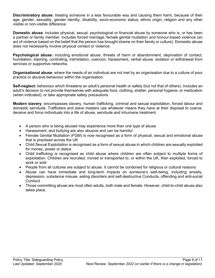**Discriminatory abuse**: treating someone in a less favourable way and causing them harm, because of their age, gender, sexuality, gender identity, disability, socio-economic status, ethnic origin, religion and any other visible or non-visible difference.

**Domestic abuse**: includes physical, sexual, psychological or financial abuse by someone who is, or has been a partner or family member. Includes forced marriage, female genital mutilation and honour-based violence (an act of violence based on the belief that the person has brought shame on their family or culture). Domestic abuse does not necessarily involve physical contact or violence.

**Psychological abuse:** including emotional abuse, threats of harm or abandonment, deprivation of contact, humiliation, blaming, controlling, intimidation, coercion, harassment, verbal abuse, isolation or withdrawal from services or supportive networks.

**Organisational abuse**: where the needs of an individual are not met by an organisation due to a culture of poor practice or abusive behaviour within the organisation.

**Self-neglect:** behaviour which threatens an adult's personal health or safety (but not that of others). Includes an adult's decision to not provide themselves with adequate food, clothing, shelter, personal hygiene, or medication (when indicated), or take appropriate safety precautions

**Modern slavery**: encompasses slavery, human trafficking, criminal and sexual exploitation, forced labour and domestic servitude. Traffickers and slave masters use whatever means they have at their disposal to coerce, deceive and force individuals into a life of abuse, servitude and inhumane treatment.

- A person who is being abused may experience more than one type of abuse
- Harassment, and bullying are also abusive and can be harmful
- Female Genital Mutilation (FGM) is now recognised as a form of physical, sexual and emotional abuse that is practised across the UK
- Child Sexual Exploitation is recognised as a form of sexual abuse in which children are sexually exploited for money, power or status
- Child trafficking is recognised as child abuse where children are often subject to multiple forms of exploitation. Children are recruited, moved or transported to, or within the UK, then exploited, forced to work or sold
- People from all cultures are subject to abuse. It cannot be condoned for religious or cultural reasons
- Abuse can have immediate and long-term impacts on someone's well-being, including anxiety, depression, substance misuse, eating disorders and self-destructive Conducts, offending and anti-social **Conduct**
- Those committing abuse are most often adults, both male and female. However, child-to-child abuse also takes place.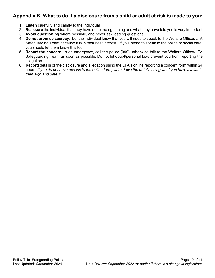## **Appendix B: What to do if a disclosure from a child or adult at risk is made to you:**

- 1. **Listen** carefully and calmly to the individual
- 2. **Reassure** the individual that they have done the right thing and what they have told you is very important
- 3. **Avoid questioning** where possible, and never ask leading questions
- 4. **Do not promise secrecy**. Let the individual know that you will need to speak to the Welfare Officer/LTA Safeguarding Team because it is in their best interest. If you intend to speak to the police or social care, you should let them know this too.
- 5. **Report the concern.** In an emergency, call the police (999), otherwise talk to the Welfare Officer/LTA Safeguarding Team as soon as possible. Do not let doubt/personal bias prevent you from reporting the allegation
- **6. Record** details of the disclosure and allegation using the LTA's online reporting a concern form within 24 hours*. If you do not have access to the online form, write down the details using what you have available then sign and date it.*